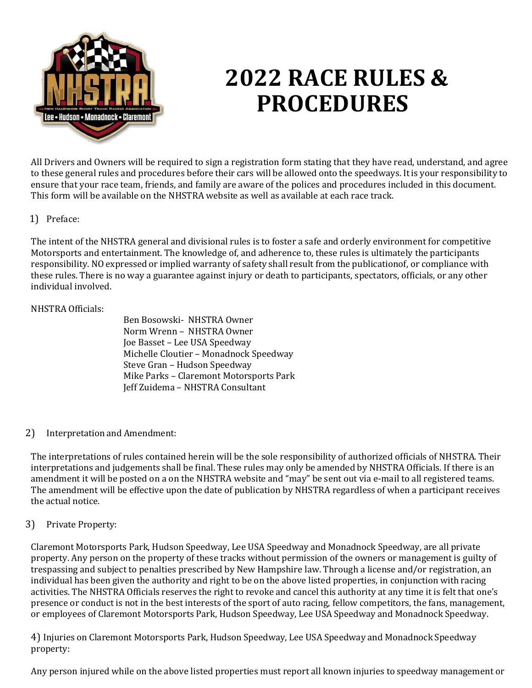

# **2022 RACE RULES & PROCEDURES**

All Drivers and Owners will be required to sign a registration form stating that they have read, understand, and agree to these general rules and procedures before their cars will be allowed onto the speedways. It is your responsibility to ensure that your race team, friends, and family are aware of the polices and procedures included in this document. This form will be available on the NHSTRA website as well as available at each race track.

## 1) Preface:

The intent of the NHSTRA general and divisional rules is to foster a safe and orderly environment for competitive Motorsports and entertainment. The knowledge of, and adherence to, these rules is ultimately the participants responsibility. NO expressed or implied warranty of safety shall result from the publicationof, or compliance with these rules. There is no way a guarantee against injury or death to participants, spectators, officials, or any other individual involved.

#### NHSTRA Officials:

 Ben Bosowski- NHSTRA Owner Norm Wrenn – NHSTRA Owner Joe Basset – Lee USA Speedway Michelle Cloutier – Monadnock Speedway Steve Gran – Hudson Speedway Mike Parks – Claremont Motorsports Park Jeff Zuidema – NHSTRA Consultant

#### 2) Interpretation and Amendment:

The interpretations of rules contained herein will be the sole responsibility of authorized officials of NHSTRA. Their interpretations and judgements shall be final. These rules may only be amended by NHSTRA Officials. If there is an amendment it will be posted on a on the NHSTRA website and "may" be sent out via e-mail to all registered teams. The amendment will be effective upon the date of publication by NHSTRA regardless of when a participant receives the actual notice.

#### 3) Private Property:

Claremont Motorsports Park, Hudson Speedway, Lee USA Speedway and Monadnock Speedway, are all private property. Any person on the property of these tracks without permission of the owners or management is guilty of trespassing and subject to penalties prescribed by New Hampshire law. Through a license and/or registration, an individual has been given the authority and right to be on the above listed properties, in conjunction with racing activities. The NHSTRA Officials reserves the right to revoke and cancel this authority at any time it is felt that one's presence or conduct is not in the best interests of the sport of auto racing, fellow competitors, the fans, management, or employees of Claremont Motorsports Park, Hudson Speedway, Lee USA Speedway and Monadnock Speedway.

4) Injuries on Claremont Motorsports Park, Hudson Speedway, Lee USA Speedway and Monadnock Speedway property:

Any person injured while on the above listed properties must report all known injuries to speedway management or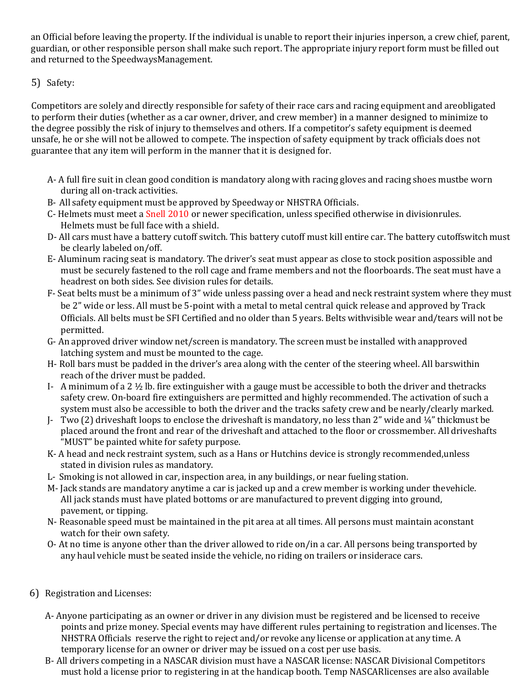an Official before leaving the property. If the individual is unable to report their injuries inperson, a crew chief, parent, guardian, or other responsible person shall make such report. The appropriate injury report form must be filled out and returned to the SpeedwaysManagement.

# 5) Safety:

Competitors are solely and directly responsible for safety of their race cars and racing equipment and areobligated to perform their duties (whether as a car owner, driver, and crew member) in a manner designed to minimize to the degree possibly the risk of injury to themselves and others. If a competitor's safety equipment is deemed unsafe, he or she will not be allowed to compete. The inspection of safety equipment by track officials does not guarantee that any item will perform in the manner that it is designed for.

- A- A full fire suit in clean good condition is mandatory along with racing gloves and racing shoes mustbe worn during all on-track activities.
- B- All safety equipment must be approved by Speedway or NHSTRA Officials.
- C- Helmets must meet a Snell 2010 or newer specification, unless specified otherwise in divisionrules. Helmets must be full face with a shield.
- D- All cars must have a battery cutoff switch. This battery cutoff must kill entire car. The battery cutoffswitch must be clearly labeled on/off.
- E- Aluminum racing seat is mandatory. The driver's seat must appear as close to stock position aspossible and must be securely fastened to the roll cage and frame members and not the floorboards. The seat must have a headrest on both sides. See division rules for details.
- F- Seat belts must be a minimum of 3" wide unless passing over a head and neck restraint system where they must be 2" wide or less. All must be 5-point with a metal to metal central quick release and approved by Track Officials. All belts must be SFI Certified and no older than 5 years. Belts withvisible wear and/tears will not be permitted.
- G- An approved driver window net/screen is mandatory. The screen must be installed with anapproved latching system and must be mounted to the cage.
- H- Roll bars must be padded in the driver's area along with the center of the steering wheel. All barswithin reach of the driver must be padded.
- I- A minimum of a 2 ½ lb. fire extinguisher with a gauge must be accessible to both the driver and thetracks safety crew. On-board fire extinguishers are permitted and highly recommended. The activation of such a system must also be accessible to both the driver and the tracks safety crew and be nearly/clearly marked.
- J- Two (2) driveshaft loops to enclose the driveshaft is mandatory, no less than 2" wide and ¼" thickmust be placed around the front and rear of the driveshaft and attached to the floor or crossmember. All driveshafts "MUST" be painted white for safety purpose.
- K- A head and neck restraint system, such as a Hans or Hutchins device is strongly recommended,unless stated in division rules as mandatory.
- L- Smoking is not allowed in car, inspection area, in any buildings, or near fueling station.
- M- Jack stands are mandatory anytime a car is jacked up and a crew member is working under thevehicle. All jack stands must have plated bottoms or are manufactured to prevent digging into ground, pavement, or tipping.
- N- Reasonable speed must be maintained in the pit area at all times. All persons must maintain aconstant watch for their own safety.
- O- At no time is anyone other than the driver allowed to ride on/in a car. All persons being transported by any haul vehicle must be seated inside the vehicle, no riding on trailers or insiderace cars.
- 6) Registration and Licenses:
	- A- Anyone participating as an owner or driver in any division must be registered and be licensed to receive points and prize money. Special events may have different rules pertaining to registration and licenses. The NHSTRA Officials reserve the right to reject and/or revoke any license or application at any time. A temporary license for an owner or driver may be issued on a cost per use basis.
	- B- All drivers competing in a NASCAR division must have a NASCAR license: NASCAR Divisional Competitors must hold a license prior to registering in at the handicap booth. Temp NASCARlicenses are also available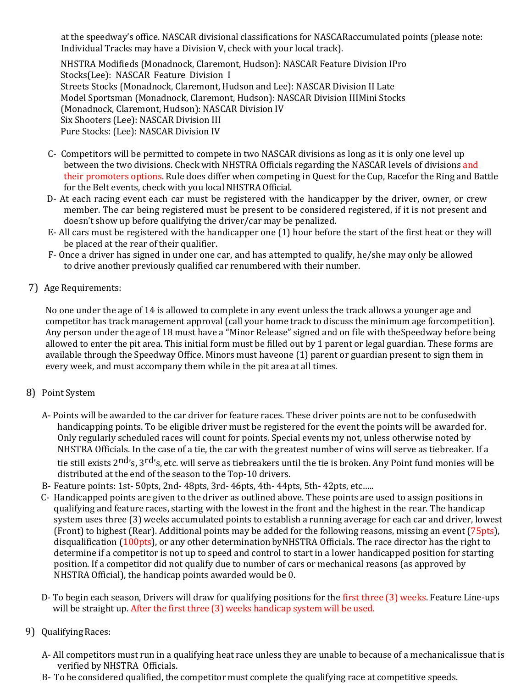at the speedway's office. NASCAR divisional classifications for NASCARaccumulated points (please note: Individual Tracks may have a Division V, check with your local track).

NHSTRA Modifieds (Monadnock, Claremont, Hudson): NASCAR Feature Division IPro Stocks(Lee): NASCAR Feature Division I Streets Stocks (Monadnock, Claremont, Hudson and Lee): NASCAR Division II Late Model Sportsman (Monadnock, Claremont, Hudson): NASCAR Division IIIMini Stocks (Monadnock, Claremont, Hudson): NASCAR Division IV Six Shooters (Lee): NASCAR Division III Pure Stocks: (Lee): NASCAR Division IV

- C- Competitors will be permitted to compete in two NASCAR divisions as long as it is only one level up between the two divisions. Check with NHSTRA Officials regarding the NASCAR levels of divisions and their promoters options. Rule does differ when competing in Quest for the Cup, Racefor the Ring and Battle for the Belt events, check with you local NHSTRA Official.
- D- At each racing event each car must be registered with the handicapper by the driver, owner, or crew member. The car being registered must be present to be considered registered, if it is not present and doesn't show up before qualifying the driver/car may be penalized.
- E- All cars must be registered with the handicapper one (1) hour before the start of the first heat or they will be placed at the rear of their qualifier.
- F- Once a driver has signed in under one car, and has attempted to qualify, he/she may only be allowed to drive another previously qualified car renumbered with their number.
- 7) Age Requirements:

No one under the age of 14 is allowed to complete in any event unless the track allows a younger age and competitor has track management approval (call your home track to discuss the minimum age forcompetition). Any person under the age of 18 must have a "Minor Release" signed and on file with theSpeedway before being allowed to enter the pit area. This initial form must be filled out by 1 parent or legal guardian. These forms are available through the Speedway Office. Minors must haveone (1) parent or guardian present to sign them in every week, and must accompany them while in the pit area at all times.

- 8) Point System
	- A- Points will be awarded to the car driver for feature races. These driver points are not to be confusedwith handicapping points. To be eligible driver must be registered for the event the points will be awarded for. Only regularly scheduled races will count for points. Special events my not, unless otherwise noted by NHSTRA Officials. In the case of a tie, the car with the greatest number of wins will serve as tiebreaker. If a tie still exists 2<sup>nd</sup>'s, 3<sup>rd</sup>'s, etc. will serve as tiebreakers until the tie is broken. Any Point fund monies will be distributed at the end of the season to the Top-10 drivers.
	- B- Feature points: 1st- 50pts, 2nd- 48pts, 3rd- 46pts, 4th- 44pts, 5th- 42pts, etc…..
	- C- Handicapped points are given to the driver as outlined above. These points are used to assign positions in qualifying and feature races, starting with the lowest in the front and the highest in the rear. The handicap system uses three (3) weeks accumulated points to establish a running average for each car and driver, lowest (Front) to highest (Rear). Additional points may be added for the following reasons, missing an event (75pts), disqualification (100pts), or any other determination byNHSTRA Officials. The race director has the right to determine if a competitor is not up to speed and control to start in a lower handicapped position for starting position. If a competitor did not qualify due to number of cars or mechanical reasons (as approved by NHSTRA Official), the handicap points awarded would be 0.
	- D- To begin each season, Drivers will draw for qualifying positions for the first three (3) weeks. Feature Line-ups will be straight up. After the first three (3) weeks handicap system will be used.
- 9) Qualifying Races:
	- A- All competitors must run in a qualifying heat race unless they are unable to because of a mechanicalissue that is verified by NHSTRA Officials.
	- B- To be considered qualified, the competitor must complete the qualifying race at competitive speeds.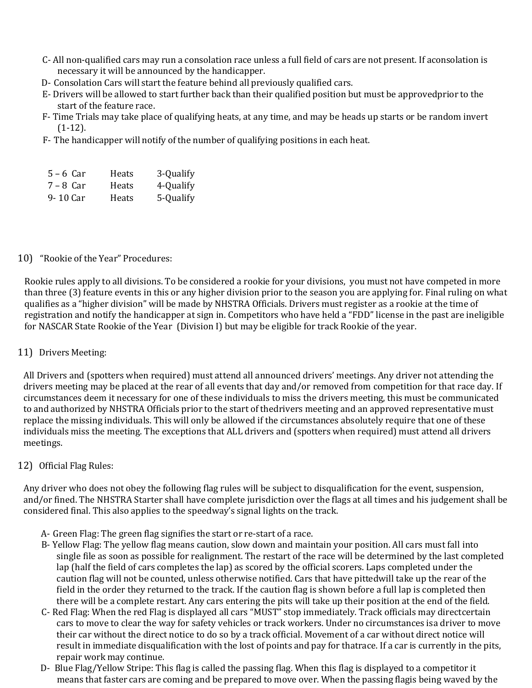- C- All non-qualified cars may run a consolation race unless a full field of cars are not present. If aconsolation is necessary it will be announced by the handicapper.
- D- Consolation Cars will start the feature behind all previously qualified cars.
- E- Drivers will be allowed to start further back than their qualified position but must be approvedprior to the start of the feature race.
- F- Time Trials may take place of qualifying heats, at any time, and may be heads up starts or be random invert (1-12).
- F- The handicapper will notify of the number of qualifying positions in each heat.
- 5 6 Car Heats 3-Qualify
- 7 8 Car Heats 4-Qualify
- 9- 10 Car Heats 5-Qualify

## 10) "Rookie of the Year" Procedures:

Rookie rules apply to all divisions. To be considered a rookie for your divisions, you must not have competed in more than three (3) feature events in this or any higher division prior to the season you are applying for. Final ruling on what qualifies as a "higher division" will be made by NHSTRA Officials. Drivers must register as a rookie at the time of registration and notify the handicapper at sign in. Competitors who have held a "FDD" license in the past are ineligible for NASCAR State Rookie of the Year (Division I) but may be eligible for track Rookie of the year.

#### 11) Drivers Meeting:

All Drivers and (spotters when required) must attend all announced drivers' meetings. Any driver not attending the drivers meeting may be placed at the rear of all events that day and/or removed from competition for that race day. If circumstances deem it necessary for one of these individuals to miss the drivers meeting, this must be communicated to and authorized by NHSTRA Officials prior to the start of thedrivers meeting and an approved representative must replace the missing individuals. This will only be allowed if the circumstances absolutely require that one of these individuals miss the meeting. The exceptions that ALL drivers and (spotters when required) must attend all drivers meetings.

# 12) Official Flag Rules:

Any driver who does not obey the following flag rules will be subject to disqualification for the event, suspension, and/or fined. The NHSTRA Starter shall have complete jurisdiction over the flags at all times and his judgement shall be considered final. This also applies to the speedway's signal lights on the track.

- A- Green Flag: The green flag signifies the start or re-start of a race.
- B- Yellow Flag: The yellow flag means caution, slow down and maintain your position. All cars must fall into single file as soon as possible for realignment. The restart of the race will be determined by the last completed lap (half the field of cars completes the lap) as scored by the official scorers. Laps completed under the caution flag will not be counted, unless otherwise notified. Cars that have pittedwill take up the rear of the field in the order they returned to the track. If the caution flag is shown before a full lap is completed then there will be a complete restart. Any cars entering the pits will take up their position at the end of the field.
- C- Red Flag: When the red Flag is displayed all cars "MUST" stop immediately. Track officials may directcertain cars to move to clear the way for safety vehicles or track workers. Under no circumstances isa driver to move their car without the direct notice to do so by a track official. Movement of a car without direct notice will result in immediate disqualification with the lost of points and pay for thatrace. If a car is currently in the pits, repair work may continue.
- D- Blue Flag/Yellow Stripe: This flag is called the passing flag. When this flag is displayed to a competitor it means that faster cars are coming and be prepared to move over. When the passing flagis being waved by the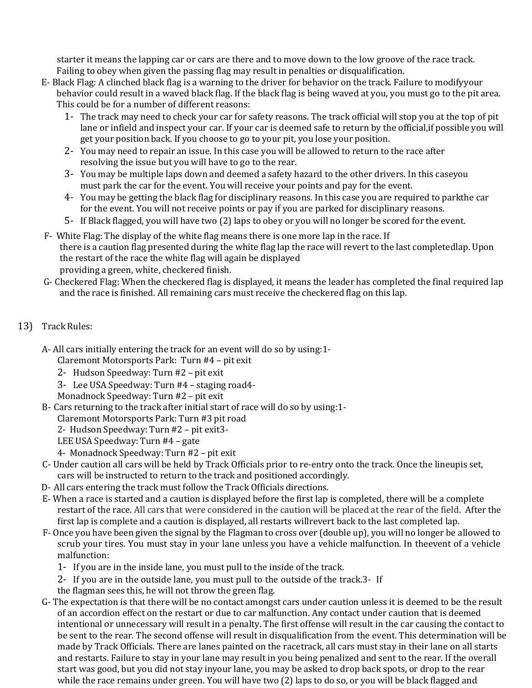starter it means the lapping car or cars are there and to move down to the low groove of the race track. Failing to obey when given the passing flag may result in penalties or disqualification.

- E- Black Flag: A clinched black flag is a warning to the driver for behavior on the track. Failure to modifyyour behavior could result in a waved black flag. If the black flag is being waved at you, you must go to the pit area. This could be for a number of different reasons:
	- 1- The track may need to check your car for safety reasons. The track official will stop you at the top of pit lane or infield and inspect your car. If your car is deemed safe to return by the official,if possible you will get your position back. If you choose to go to your pit, you lose your position.
	- 2- You may need to repair an issue. In this case you will be allowed to return to the race after resolving the issue but you will have to go to the rear.
	- 3- You may be multiple laps down and deemed a safety hazard to the other drivers. In this caseyou must park the car for the event. You will receive your points and pay for the event.
	- 4- You may be getting the black flag for disciplinary reasons. In this case you are required to parkthe car for the event. You will not receive points or pay if you are parked for disciplinary reasons.
	- 5- If Black flagged, you will have two (2) laps to obey or you will no longer be scored for the event.
- F- White Flag: The display of the white flag means there is one more lap in the race. If there is a caution flag presented during the white flag lap the race will revert to the last completedlap. Upon the restart of the race the white flag will again be displayed providing a green, white, checkered finish.
- G- Checkered Flag: When the checkered flag is displayed, it means the leader has completed the final required lap and the race is finished. All remaining cars must receive the checkered flag on this lap.

# 13) Track Rules:

A- All cars initially entering the track for an event will do so by using:1-

Claremont Motorsports Park: Turn #4 – pit exit

- 2- Hudson Speedway: Turn #2 pit exit
- 3- Lee USA Speedway: Turn #4 staging road4-
- Monadnock Speedway: Turn #2 pit exit
- B- Cars returning to the track after initial start of race will do so by using:1-

Claremont Motorsports Park: Turn #3 pit road

2- Hudson Speedway: Turn #2 – pit exit3-

- LEE USA Speedway: Turn #4 gate
- 4- Monadnock Speedway: Turn #2 pit exit
- C- Under caution all cars will be held by Track Officials prior to re-entry onto the track. Once the lineupis set, cars will be instructed to return to the track and positioned accordingly.
- D- All cars entering the track must follow the Track Officials directions.
- E- When a race is started and a caution is displayed before the first lap is completed, there will be a complete restart of the race. All cars that were considered in the caution will be placed at the rear of the field. After the first lap is complete and a caution is displayed, all restarts willrevert back to the last completed lap.
- F- Once you have been given the signal by the Flagman to cross over (double up), you will no longer be allowed to scrub your tires. You must stay in your lane unless you have a vehicle malfunction. In theevent of a vehicle malfunction:
	- 1- If you are in the inside lane, you must pull to the inside of the track.
	- 2- If you are in the outside lane, you must pull to the outside of the track.3- If
	- the flagman sees this, he will not throw the green flag.
- G- The expectation is that there will be no contact amongst cars under caution unless it is deemed to be the result of an accordion effect on the restart or due to car malfunction. Any contact under caution that is deemed intentional or unnecessary will result in a penalty. The first offense will result in the car causing the contact to be sent to the rear. The second offense will result in disqualification from the event. This determination will be made by Track Officials. There are lanes painted on the racetrack, all cars must stay in their lane on all starts and restarts. Failure to stay in your lane may result in you being penalized and sent to the rear. If the overall start was good, but you did not stay inyour lane, you may be asked to drop back spots, or drop to the rear while the race remains under green. You will have two (2) laps to do so, or you will be black flagged and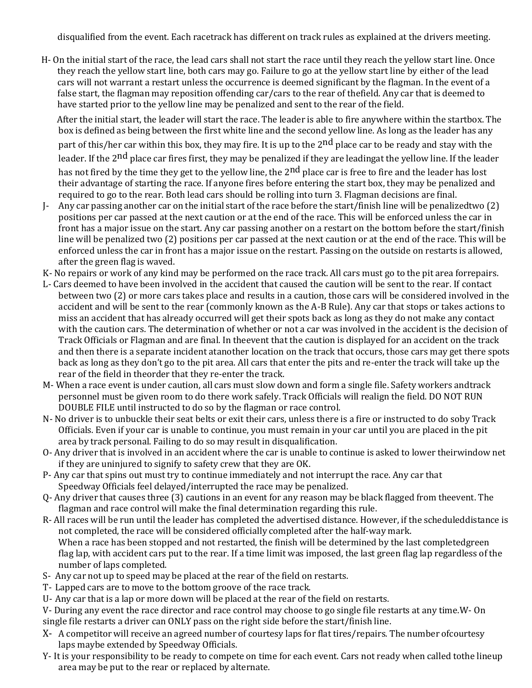disqualified from the event. Each racetrack has different on track rules as explained at the drivers meeting.

H- On the initial start of the race, the lead cars shall not start the race until they reach the yellow start line. Once they reach the yellow start line, both cars may go. Failure to go at the yellow start line by either of the lead cars will not warrant a restart unless the occurrence is deemed significant by the flagman. In the event of a false start, the flagman may reposition offending car/cars to the rear of thefield. Any car that is deemed to have started prior to the yellow line may be penalized and sent to the rear of the field.

After the initial start, the leader will start the race. The leader is able to fire anywhere within the startbox. The box is defined as being between the first white line and the second yellow line. As long as the leader has any part of this/her car within this box, they may fire. It is up to the 2<sup>nd</sup> place car to be ready and stay with the leader. If the 2<sup>nd</sup> place car fires first, they may be penalized if they are leadingat the yellow line. If the leader has not fired by the time they get to the yellow line, the 2<sup>nd</sup> place car is free to fire and the leader has lost their advantage of starting the race. If anyone fires before entering the start box, they may be penalized and required to go to the rear. Both lead cars should be rolling into turn 3. Flagman decisions are final.

- J- Any car passing another car on the initial start of the race before the start/finish line will be penalizedtwo (2) positions per car passed at the next caution or at the end of the race. This will be enforced unless the car in front has a major issue on the start. Any car passing another on a restart on the bottom before the start/finish line will be penalized two (2) positions per car passed at the next caution or at the end of the race. This will be enforced unless the car in front has a major issue on the restart. Passing on the outside on restarts is allowed, after the green flag is waved.
- K- No repairs or work of any kind may be performed on the race track. All cars must go to the pit area forrepairs.
- L- Cars deemed to have been involved in the accident that caused the caution will be sent to the rear. If contact between two (2) or more cars takes place and results in a caution, those cars will be considered involved in the accident and will be sent to the rear (commonly known as the A-B Rule). Any car that stops or takes actions to miss an accident that has already occurred will get their spots back as long as they do not make any contact with the caution cars. The determination of whether or not a car was involved in the accident is the decision of Track Officials or Flagman and are final. In theevent that the caution is displayed for an accident on the track and then there is a separate incident atanother location on the track that occurs, those cars may get there spots back as long as they don't go to the pit area. All cars that enter the pits and re-enter the track will take up the rear of the field in theorder that they re-enter the track.
- M- When a race event is under caution, all cars must slow down and form a single file. Safety workers andtrack personnel must be given room to do there work safely. Track Officials will realign the field. DO NOT RUN DOUBLE FILE until instructed to do so by the flagman or race control.
- N- No driver is to unbuckle their seat belts or exit their cars, unless there is a fire or instructed to do soby Track Officials. Even if your car is unable to continue, you must remain in your car until you are placed in the pit area by track personal. Failing to do so may result in disqualification.
- O- Any driver that is involved in an accident where the car is unable to continue is asked to lower theirwindow net if they are uninjured to signify to safety crew that they are OK.
- P- Any car that spins out must try to continue immediately and not interrupt the race. Any car that Speedway Officials feel delayed/interrupted the race may be penalized.
- Q- Any driver that causes three (3) cautions in an event for any reason may be black flagged from theevent. The flagman and race control will make the final determination regarding this rule.
- R- All races will be run until the leader has completed the advertised distance. However, if the scheduleddistance is not completed, the race will be considered officially completed after the half-way mark. When a race has been stopped and not restarted, the finish will be determined by the last completedgreen flag lap, with accident cars put to the rear. If a time limit was imposed, the last green flag lap regardless of the number of laps completed.
- S- Any car not up to speed may be placed at the rear of the field on restarts.
- T- Lapped cars are to move to the bottom groove of the race track.
- U- Any car that is a lap or more down will be placed at the rear of the field on restarts.
- V- During any event the race director and race control may choose to go single file restarts at any time.W- On single file restarts a driver can ONLY pass on the right side before the start/finish line.
- X- A competitor will receive an agreed number of courtesy laps for flat tires/repairs. The number ofcourtesy laps maybe extended by Speedway Officials.
- Y- It is your responsibility to be ready to compete on time for each event. Cars not ready when called tothe lineup area may be put to the rear or replaced by alternate.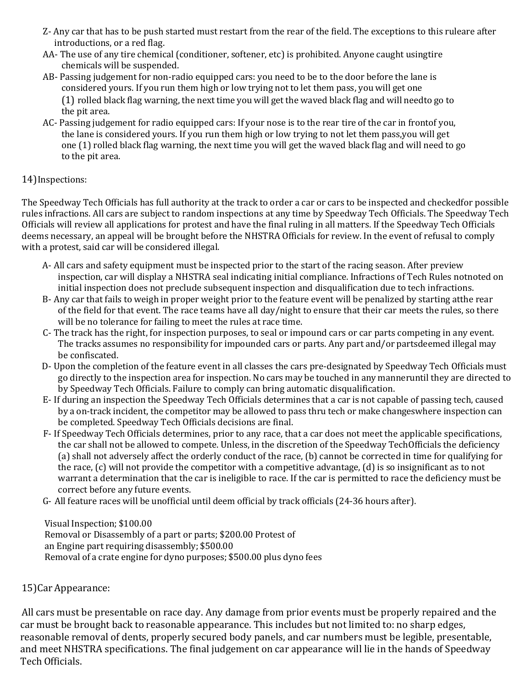- Z- Any car that has to be push started must restart from the rear of the field. The exceptions to this ruleare after introductions, or a red flag.
- AA- The use of any tire chemical (conditioner, softener, etc) is prohibited. Anyone caught usingtire chemicals will be suspended.
- AB- Passing judgement for non-radio equipped cars: you need to be to the door before the lane is considered yours. If you run them high or low trying not to let them pass, you will get one (1) rolled black flag warning, the next time you will get the waved black flag and will needto go to the pit area.
- AC- Passing judgement for radio equipped cars: If your nose is to the rear tire of the car in frontof you, the lane is considered yours. If you run them high or low trying to not let them pass,you will get one (1) rolled black flag warning, the next time you will get the waved black flag and will need to go to the pit area.

# 14)Inspections:

The Speedway Tech Officials has full authority at the track to order a car or cars to be inspected and checkedfor possible rules infractions. All cars are subject to random inspections at any time by Speedway Tech Officials. The Speedway Tech Officials will review all applications for protest and have the final ruling in all matters. If the Speedway Tech Officials deems necessary, an appeal will be brought before the NHSTRA Officials for review. In the event of refusal to comply with a protest, said car will be considered illegal.

- A- All cars and safety equipment must be inspected prior to the start of the racing season. After preview inspection, car will display a NHSTRA seal indicating initial compliance. Infractions of Tech Rules notnoted on initial inspection does not preclude subsequent inspection and disqualification due to tech infractions.
- B- Any car that fails to weigh in proper weight prior to the feature event will be penalized by starting atthe rear of the field for that event. The race teams have all day/night to ensure that their car meets the rules, so there will be no tolerance for failing to meet the rules at race time.
- C- The track has the right, for inspection purposes, to seal or impound cars or car parts competing in any event. The tracks assumes no responsibility for impounded cars or parts. Any part and/or partsdeemed illegal may be confiscated.
- D- Upon the completion of the feature event in all classes the cars pre-designated by Speedway Tech Officials must go directly to the inspection area for inspection. No cars may be touched in any manneruntil they are directed to by Speedway Tech Officials. Failure to comply can bring automatic disqualification.
- E- If during an inspection the Speedway Tech Officials determines that a car is not capable of passing tech, caused by a on-track incident, the competitor may be allowed to pass thru tech or make changeswhere inspection can be completed. Speedway Tech Officials decisions are final.
- F- If Speedway Tech Officials determines, prior to any race, that a car does not meet the applicable specifications, the car shall not be allowed to compete. Unless, in the discretion of the Speedway TechOfficials the deficiency (a) shall not adversely affect the orderly conduct of the race, (b) cannot be corrected in time for qualifying for the race, (c) will not provide the competitor with a competitive advantage, (d) is so insignificant as to not warrant a determination that the car is ineligible to race. If the car is permitted to race the deficiency must be correct before any future events.
- G- All feature races will be unofficial until deem official by track officials (24-36 hours after).

Visual Inspection; \$100.00 Removal or Disassembly of a part or parts; \$200.00 Protest of an Engine part requiring disassembly; \$500.00 Removal of a crate engine for dyno purposes; \$500.00 plus dyno fees

# 15)Car Appearance:

All cars must be presentable on race day. Any damage from prior events must be properly repaired and the car must be brought back to reasonable appearance. This includes but not limited to: no sharp edges, reasonable removal of dents, properly secured body panels, and car numbers must be legible, presentable, and meet NHSTRA specifications. The final judgement on car appearance will lie in the hands of Speedway Tech Officials.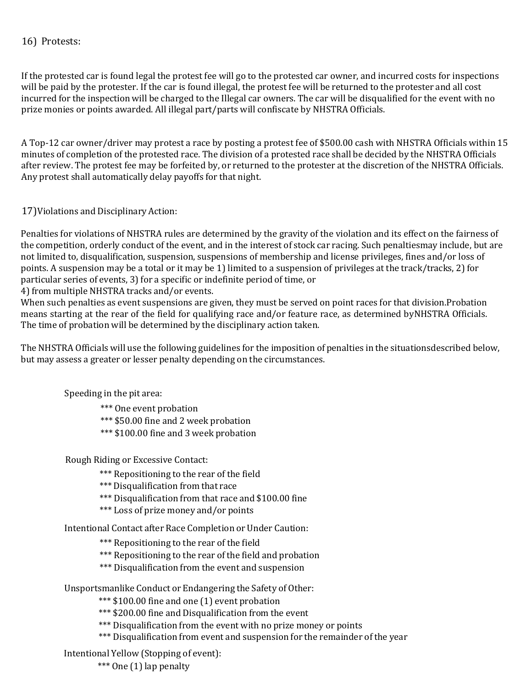## 16) Protests:

If the protested car is found legal the protest fee will go to the protested car owner, and incurred costs for inspections will be paid by the protester. If the car is found illegal, the protest fee will be returned to the protester and all cost incurred for the inspection will be charged to the Illegal car owners. The car will be disqualified for the event with no prize monies or points awarded. All illegal part/parts will confiscate by NHSTRA Officials.

A Top-12 car owner/driver may protest a race by posting a protest fee of \$500.00 cash with NHSTRA Officials within 15 minutes of completion of the protested race. The division of a protested race shall be decided by the NHSTRA Officials after review. The protest fee may be forfeited by, or returned to the protester at the discretion of the NHSTRA Officials. Any protest shall automatically delay payoffs for that night.

17)Violations and Disciplinary Action:

Penalties for violations of NHSTRA rules are determined by the gravity of the violation and its effect on the fairness of the competition, orderly conduct of the event, and in the interest of stock car racing. Such penaltiesmay include, but are not limited to, disqualification, suspension, suspensions of membership and license privileges, fines and/or loss of points. A suspension may be a total or it may be 1) limited to a suspension of privileges at the track/tracks, 2) for particular series of events, 3) for a specific or indefinite period of time, or

4) from multiple NHSTRA tracks and/or events.

When such penalties as event suspensions are given, they must be served on point races for that division.Probation means starting at the rear of the field for qualifying race and/or feature race, as determined byNHSTRA Officials. The time of probation will be determined by the disciplinary action taken.

The NHSTRA Officials will use the following guidelines for the imposition of penalties in the situationsdescribed below, but may assess a greater or lesser penalty depending on the circumstances.

Speeding in the pit area:

\*\*\* One event probation

\*\*\* \$50.00 fine and 2 week probation

\*\*\* \$100.00 fine and 3 week probation

Rough Riding or Excessive Contact:

\*\*\* Repositioning to the rear of the field

\*\*\* Disqualification from that race

- \*\*\* Disqualification from that race and \$100.00 fine
- \*\*\* Loss of prize money and/or points

Intentional Contact after Race Completion or Under Caution:

\*\*\* Repositioning to the rear of the field

- \*\*\* Repositioning to the rear of the field and probation
- \*\*\* Disqualification from the event and suspension

Unsportsmanlike Conduct or Endangering the Safety of Other:

\*\*\* \$100.00 fine and one (1) event probation

- \*\*\* \$200.00 fine and Disqualification from the event
- \*\*\* Disqualification from the event with no prize money or points
- \*\*\* Disqualification from event and suspension for the remainder of the year

Intentional Yellow (Stopping of event):

\*\*\* One (1) lap penalty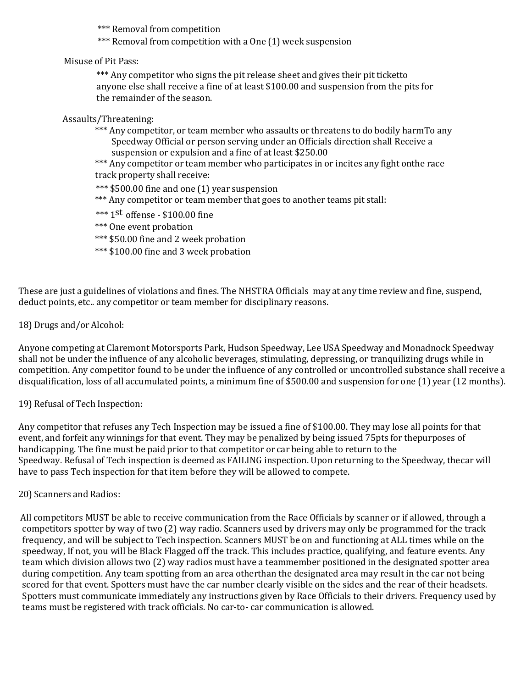\*\*\* Removal from competition

\*\*\* Removal from competition with a One (1) week suspension

# Misuse of Pit Pass:

\*\*\* Any competitor who signs the pit release sheet and gives their pit ticketto anyone else shall receive a fine of at least \$100.00 and suspension from the pits for the remainder of the season.

## Assaults/Threatening:

\*\*\* Any competitor, or team member who assaults or threatens to do bodily harmTo any Speedway Official or person serving under an Officials direction shall Receive a suspension or expulsion and a fine of at least \$250.00

\*\*\* Any competitor or team member who participates in or incites any fight onthe race track property shall receive:

- \*\*\* \$500.00 fine and one (1) year suspension
- \*\*\* Any competitor or team member that goes to another teams pit stall:
- \*\*\* 1st offense \$100.00 fine
- \*\*\* One event probation
- \*\*\* \$50.00 fine and 2 week probation
- \*\*\* \$100.00 fine and 3 week probation

These are just a guidelines of violations and fines. The NHSTRA Officials may at any time review and fine, suspend, deduct points, etc.. any competitor or team member for disciplinary reasons.

## 18) Drugs and/or Alcohol:

Anyone competing at Claremont Motorsports Park, Hudson Speedway, Lee USA Speedway and Monadnock Speedway shall not be under the influence of any alcoholic beverages, stimulating, depressing, or tranquilizing drugs while in competition. Any competitor found to be under the influence of any controlled or uncontrolled substance shall receive a disqualification, loss of all accumulated points, a minimum fine of \$500.00 and suspension for one (1) year (12 months).

# 19) Refusal of Tech Inspection:

Any competitor that refuses any Tech Inspection may be issued a fine of \$100.00. They may lose all points for that event, and forfeit any winnings for that event. They may be penalized by being issued 75pts for thepurposes of handicapping. The fine must be paid prior to that competitor or car being able to return to the Speedway. Refusal of Tech inspection is deemed as FAILING inspection. Upon returning to the Speedway, thecar will have to pass Tech inspection for that item before they will be allowed to compete.

#### 20) Scanners and Radios:

All competitors MUST be able to receive communication from the Race Officials by scanner or if allowed, through a competitors spotter by way of two (2) way radio. Scanners used by drivers may only be programmed for the track frequency, and will be subject to Tech inspection. Scanners MUST be on and functioning at ALL times while on the speedway, If not, you will be Black Flagged off the track. This includes practice, qualifying, and feature events. Any team which division allows two (2) way radios must have a teammember positioned in the designated spotter area during competition. Any team spotting from an area otherthan the designated area may result in the car not being scored for that event. Spotters must have the car number clearly visible on the sides and the rear of their headsets. Spotters must communicate immediately any instructions given by Race Officials to their drivers. Frequency used by teams must be registered with track officials. No car-to- car communication is allowed.